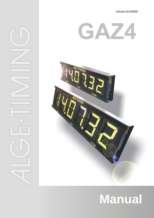Version-E100930

# GAZ



## **Manual**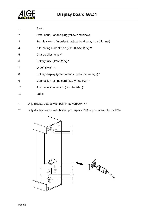

| 1              | Switch                                                       |
|----------------|--------------------------------------------------------------|
| 2              | Data input (Banana plug yellow and black)                    |
| 3              | Toggle switch: (in order to adjust the display board format) |
| 4              | Alternating current fuse (2 x T0, 5A/220V) **                |
| 5              | Charge pilot lamp **                                         |
| 6              | Battery fuse (T2A/220V) *                                    |
| $\overline{7}$ | On/off switch *                                              |
| 8              | Battery display (green = ready, red = low voltage) $*$       |
| 9              | Connection for line cord (220 V / 50 Hz) **                  |
| 10             | Amphenol connection (double-sided)                           |
| 11             | Label                                                        |

- \* Only display boards with built-in powerpack PP4
- \*\* Only display boards with built-in powerpack PP4 or power supply unit PS4

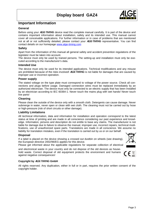

#### **Important Information**

#### **General**

Before using your ALGE-TIMING device read the complete manual carefully. It is part of the device and contains important information about installation, safety and its intended use. This manual cannot cover all conceivable applications. For further information or in case of problems that are mentioned not at all or not sufficiently detailed, please contact your **ALGE-TIMING** representative. You can find contact details on our homepage [www.alge-timing.com](http://www.alge-timing.com/)

#### **Safety**

Apart from the information of this manual all general safety and accident prevention regulations of the legislator must be taken into account.

The device must only be used by trained persons. The setting-up and installation must only be executed according to the manufacturer's data.

#### **Intended Use**

The device must only be used for its intended applications. Technical modifications and any misuse are prohibited because of the risks involved! ALGE-TIMING is not liable for damages that are caused by improper use or incorrect operation.

#### **Power supply**

The stated voltage on the type plate must correspond to voltage of the power source. Check all connections and plugs before usage. Damaged connection wires must be replaced immediately by an authorized electrician. The device must only be connected to an electric supply that has been installed by an electrician according to IEC 60364-1. Never touch the mains plug with wet hands! Never touch live parts!

#### **Cleaning**

Please clean the outside of the device only with a smooth cloth. Detergents can cause damage. Never submerge in water, never open or clean with wet cloth. The cleaning must not be carried out by hose or high-pressure (risk of short circuits or other damage).

#### **Liability Limitations**

All technical information, data and information for installation and operation correspond to the latest status at time of printing and are made in all conscience considering our past experience and knowledge. Information, pictures and description do not entitle to base any claims. The manufacturer is not liable for damage due to failure to observe the manual, improper use, incorrect repairs, technical modifications, use of unauthorized spare parts. Translations are made in all conscience. We assume no liability for translation mistakes, even if the translation is carried out by us or on our behalf.

#### **Disposal**

If a label is placed on the device showing a crossed out dustbin on wheels (see drawing), the European directive 2002/96/EG applies for this device.

Please get informed about the applicable regulations for separate collection of electrical

and electronical waste in your country and do not dispose of the old devices as household waste. Correct disposal of old equipment protects the environment and humans against negative consequences!



#### **Copyright by** ALGE-TIMING **GmbH**

All rights reserved. Any duplication, either in full or in part, requires the prior written consent of the copyright holder.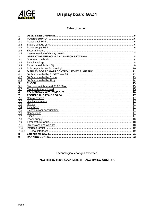

Table of content

| 2                       |  |
|-------------------------|--|
| 2.1                     |  |
| 2.2                     |  |
| $\frac{2.3}{2.3}$       |  |
| $\frac{2.4}{2.4}$       |  |
| $\overline{2.5}$        |  |
| $\overline{\mathbf{3}}$ |  |
| 3.1                     |  |
| 3.2                     |  |
|                         |  |
|                         |  |
| $\frac{3.3}{3.4}$<br>4  |  |
|                         |  |
| $\frac{4.1}{4.2}$       |  |
| 4.3                     |  |
| $\overline{5}$          |  |
| 5.1                     |  |
| 5.2                     |  |
| $\overline{6}$          |  |
| 7                       |  |
| 7.1                     |  |
| $\overline{7.2}$        |  |
| $\overline{7.3}$        |  |
| 7.4                     |  |
| $\overline{7.5}$        |  |
| 7.6                     |  |
| 7.7                     |  |
| $\frac{1}{7.8}$         |  |
| 7.9                     |  |
| 7.10                    |  |
| 7.11                    |  |
| 7.11.1                  |  |
| 8                       |  |
| 9                       |  |

Technological changes expected.

ALGE display board GAZ4 Manual: ALGE-TIMING AUSTRIA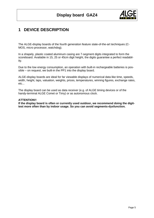

#### <span id="page-4-0"></span>**1 DEVICE DESCRIPTION**

The ALGE-display boards of the fourth generation feature state-of-the-art techniques (C-MOS, micro processor, watchdog).

In a shapely, plastic coated aluminum casing are 7-segment digits integrated to form the scoreboard. Available in 15, 25 or 45cm digit height, the digits guarantee a perfect readability.

Due to the low energy consumption, an operation with built-in rechargeable batteries is possible – on request, we built-in the PP1 into the display board.

ALGE-display boards are ideal for far viewable displays of numerical data like time, speeds, width, height, laps, valuation, weights, prices, temperatures, winning figures, exchange rates, etc...

The display board can be used as data receiver (e.g. of ALGE timing devices or of the handy-terminal ALGE Comet or Timy) or as autonomous clock.

#### **ATTENTION!!**

**If the display board is often or currently used outdoor, we recommend doing the digittest more often than by indoor usage. So you can avoid segments-dysfunction.**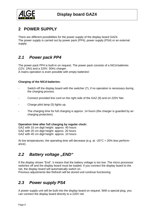<span id="page-5-0"></span>

## **2 POWER SUPPLY**

There are different possibilities for the power supply of the display board GAZ4. The power supply is carried out by power pack (PP4), power supply (PS4) or an external supply.

## *2.1 Power pack PP4*

The power pack PP4 is built-in on request. The power pack consists of a NiCd-batteries (12V, 2Ah) and a 220V, 50Hz charger. A mains operation is even possible with empty batteries!

#### **Charging of the NiCd-batteries:**

- Switch-off the display board with the switcher (7), if no operation is necessary during the charging process.
- Connect provided line cord on the right side of the GAZ (9) and on 220V Net.
- Charge pilot lamp (5) lights up.
- The charging time for full charging is approx. 14 hours (the charger is guarded by an charging protection).

#### **Operation time after full charging by regular clock:**

GAZ with 15 cm digit height: approx. 40 hours GAZ with 25 cm digit height: approx. 20 hours GAZ with 45 cm digit height: approx. 10 hours

At low temperatures, the operating time will decrease (e.g. at  $-20^{\circ}C = 20\%$  less performance).

#### **2.2 Battery voltage "END"**

If the display shows "End", it means that the battery voltage is too low. The micro processor switches off and the display board must be loaded. If you connect the display board to the net, the display board will automatically switch on.

Previous adjustments like Refresh will be stored und continue functioning.

## *2.3 Power supply PS4*

A power supply unit will be built into the display board on request. With a special plug, you can connect the display board directly to a 220V net.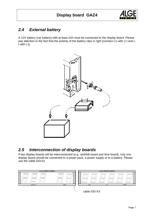

## <span id="page-6-0"></span>*2.4 External battery*

A 12V battery (car battery) with at least 2Ah must be connected to the display board. Please pay attention to the fact that the polarity of the battery clips is right [connect (+) with (+) and (- ) with (-)].



## *2.5 Interconnection of display boards*

If two display boards will be interconnected (e.g. rank/bib board and time board), only one display board should be connected to a power pack, a power supply or to a battery. Please use the cable 033-01.

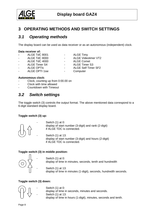<span id="page-7-0"></span>

## **3 OPERATING METHODS AND SWITCH SETTINGS**

#### *3.1 Operating methods*

The display board can be used as data receiver or as an autonomous (independent) clock.

#### **Data receiver of:**

- ALGE TdC 8001 ALGE Timy
- ALGE TdC 8000 ALGE Videotimer VT2<br>ALGE TdC 4000 ALGE Comet
- ALGE TdC 4000 -
- 
- 
- 
- ALGE Timer S4 ALGE Timer S3
- ALGE OPTIc  **ALGE Self Timer SF2**
- ALGE OPTI 1sw Computer
- 

#### **Autonomous clock:**

- Clock, counting up from 0:00.00 on
- Clock with time allowed
- Countdown with Timeout

#### *3.2 Switch settings*

The toggle switch (3) controls the output format. The above mentioned data correspond to a 6-digit standard display board.

#### **Toggle switch (3) up:**



Switch (1) at 0: display of start number (3-digit) and rank (2-digit) if ALGE TDC is connected.

Switch (1) at 13: display of start number (3-digit) and hours (2-digit) if ALGE TDC is connected.

#### **Toggle switch (3) in middle position:**



- Switch (1) at 0: display of time in minutes, seconds, tenth and hundredth
- Switch (1) at 13: display of time in minutes (1-digit), seconds, hundredth seconds.

#### **Toggle switch (3) down:**



Switch  $(1)$  at 0: display of time in seconds, minutes and seconds. Switch (1) at 13: display of time in hours (1-digit), minutes, seconds and tenth.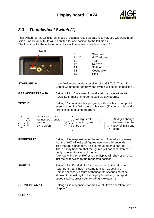

## <span id="page-8-0"></span>*3.3 Thumbwheel Switch (1)*

That switch (1) has 16 different types of settings. Used as data receiver, you will work in position 0 or 13 (all outputs will be shifted for one position to the left side.) The functions for the autonomous clock will be active in position 14 and 15

| Switch                                                                |                                                                                                                                                                                                                                                                                                              |                                             |                                                                                                                                                                                                                                                                                                                             |                                                                    |  |  |  |  |  |  |
|-----------------------------------------------------------------------|--------------------------------------------------------------------------------------------------------------------------------------------------------------------------------------------------------------------------------------------------------------------------------------------------------------|---------------------------------------------|-----------------------------------------------------------------------------------------------------------------------------------------------------------------------------------------------------------------------------------------------------------------------------------------------------------------------------|--------------------------------------------------------------------|--|--|--|--|--|--|
|                                                                       | 0<br>11<br>12<br>13<br>14<br>15                                                                                                                                                                                                                                                                              | $1 - 10$                                    | Standard<br><b>GAZ</b> address<br><b>Test</b><br>Refresh<br>Shift left<br>Count down<br><b>Clock</b>                                                                                                                                                                                                                        |                                                                    |  |  |  |  |  |  |
| <b>STANDARD 0</b>                                                     | If the GAZ works as data receiver of ALGE TdC, Timer S3,<br>Comet Commander or Timy, the switch will be set to position 0.                                                                                                                                                                                   |                                             |                                                                                                                                                                                                                                                                                                                             |                                                                    |  |  |  |  |  |  |
| GAZ ADDRESS 1-10                                                      | Settings 1 to 10 are used for addressing at operations with<br>ALGE SelfTimer or interconnected display boards.                                                                                                                                                                                              |                                             |                                                                                                                                                                                                                                                                                                                             |                                                                    |  |  |  |  |  |  |
| <b>TEST 11</b>                                                        | ferent kinds of testing programs.                                                                                                                                                                                                                                                                            |                                             | Setting 11 contains a test program, with which you can proof                                                                                                                                                                                                                                                                | every single digit. With the toggle switch (3) you can chose dif-  |  |  |  |  |  |  |
| Test switch and sig-<br>nal input DL  short-<br>circuited.<br>DH Open |                                                                                                                                                                                                                                                                                                              | All digits will<br>count up, one<br>by one. |                                                                                                                                                                                                                                                                                                                             | All digits change<br>between the dis-<br>play of 8888 and<br>blank |  |  |  |  |  |  |
| <b>REFRESH 12</b>                                                     | rectly, due to vibrations of the car.<br>just the shift switch to the requested position.                                                                                                                                                                                                                    |                                             | Setting 12 is responsible for the refresh. The refresh causes<br>that the GAZ will write all figures new every 10 seconds.<br>This feature is used for GAZ e.g. mounted on a car-top.<br>There it may happen, that the figures will not be written cor-<br>After switching-on of Refresh, the display will show "r on". Ad- |                                                                    |  |  |  |  |  |  |
| <b>SHIFT 13</b>                                                       | Setting 13 shifts all digits for one position to the left side.<br>Apart from that, it has the same function as setting 0.<br>Shift is necessary if tenth or thousandth seconds must be<br>shown at the last digit of the display board (e.g. car sports,<br>speed skating, cross country skiing, skeleton ) |                                             |                                                                                                                                                                                                                                                                                                                             |                                                                    |  |  |  |  |  |  |
| <b>COUNT DOWN 14</b>                                                  | chapter 6).                                                                                                                                                                                                                                                                                                  |                                             | Setting 14 is responsible for the Count-Down operation (see                                                                                                                                                                                                                                                                 |                                                                    |  |  |  |  |  |  |
| <b>CLOCK 15</b>                                                       |                                                                                                                                                                                                                                                                                                              |                                             |                                                                                                                                                                                                                                                                                                                             |                                                                    |  |  |  |  |  |  |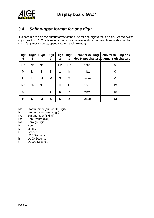<span id="page-9-0"></span>

## *3.4 Shift output format for one digit*

It is possible to shift the output format of the GAZ for one digit to the left side. Set the switch (1) to position 13. This is required for sports, where tenth or thousandth seconds must be show (e.g. motor sports, speed skating, and skeleton)

| <b>Digit</b><br>6 | <b>Digit</b><br>5 | <b>Digit</b><br>4 | <b>Digit</b><br>3 | <b>Digit</b><br>$\mathbf{2}$ | <b>Digit</b><br>1 |       | Schalterstellung Schalterstellung des<br>des Kippschalters Daumenradschalters |
|-------------------|-------------------|-------------------|-------------------|------------------------------|-------------------|-------|-------------------------------------------------------------------------------|
| Nh                | <b>Nz</b>         | <b>Ne</b>         |                   | <b>Rz</b>                    | Re                | oben  | 0                                                                             |
| M                 | M                 | S                 | S                 | Z                            | h                 | mitte | 0                                                                             |
| H                 | H                 | M                 | M                 | S                            | S                 | unten | 0                                                                             |
| Nh                | <b>Nz</b>         | <b>Ne</b>         |                   | H                            | Н                 | oben  | 13                                                                            |
| M                 | S                 | S                 | Z                 | h                            | t                 | mitte | 13                                                                            |
| H                 | M                 | M                 | S                 | S                            | Z                 | unten | 13                                                                            |

- Nh Start number (hundredth-digit)
- Nz Start number (tenth-digit)
- Ne Start number (1-digit)
- Rz Rank (tenth-digit)
- Re Rank (1-digit)
- H Hour
- M Minute<br>S Second
- **Second**
- z 1/10 Seconds
- h 1/100 Seconds
- t 1/1000 Seconds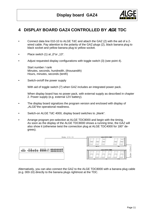

#### <span id="page-10-0"></span>**4 DISPLAY BOARD GAZ4 CONTROLLED BY** ALGE **TDC**

- Connect data line 010-10 to ALGE TdC and attach the GAZ (2) with the aid of a 2 wired cable. Pay attention to the polarity of the GAZ-plugs (2), black banana plug to black socket and yellow banana plug to yellow socket.
- Place switch  $(1)$  at  $.0$  or  $.13$ ".
- Adjust requested display configurations with toggle switch (3) (see point 4).

 Start number / rank Minutes, seconds, hundredth, (thousandth) Hours, minutes, seconds (tenth)

• Switch-on/off the power supply

With aid of toggle switch (7) when GAZ includes an integrated power pack.

When display board has no power pack, with external supply as described in chapter 2. Power supply (e.g. external 12V battery).

- The display board signalizes the program version and enclosed with display of ..ALGE "the operational readiness.
- Switch-on ALGE TdC 4000, display board switches to "blank".
- Arrange program pre-selection at ALGE TDC8000 and begin with the timing. As soon as the display of the ALGE TDC8000 shows a running time, the GAZ will also show it (otherwise twist the connection plug at ALGE TDC4000 for 180° degrees).



Alternatively, you can also connect the GAZ to the ALGE TDC8000 with a banana plug cable (e.g. 000-10) directly to the banana plugs rightmost at the TDC.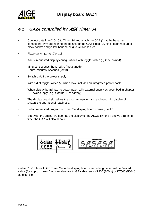<span id="page-11-0"></span>

#### *4.1 GAZ4 controlled by* ALGE *Timer S4*

- Connect data line 010-10 to Timer S4 and attach the GAZ (2) at the bananaconnectors. Pay attention to the polarity of the GAZ-plugs (2), black banana plug to black socket and yellow banana plug to yellow socket.
- Place switch  $(1)$  at  $.0$  or  $.13$ ".
- Adjust requested display configurations with toggle switch (3) (see point 4).

 Minutes, seconds, hundredth, (thousandth) Hours, minutes, seconds (tenth)

Switch-on/off the power supply

With aid of toggle switch (7) when GAZ includes an integrated power pack.

When display board has no power pack, with external supply as described in chapter 2. Power supply (e.g. external 12V battery).

- The display board signalizes the program version and enclosed with display of "ALGE"the operational readiness.
- Select requested program of Timer S4, display board shows "blank".
- Start with the timing. As soon as the display of the ALGE Timer S4 shows a running time, the GAZ will also show it.



Cable 010-10 from ALGE Timer S4 to the display board can be lengthened with a 2-wired cable (for approx. 1km). You can also use ALGE cable reels KT300 (300m) or KT500 (500m) as extension.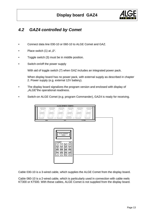

#### <span id="page-12-0"></span>*4.2 GAZ4 controlled by Comet*

- Connect data line 030-10 or 060-10 to ALGE Comet and GAZ.
- Place switch  $(1)$  at  $.0$ ".
- Toggle switch (3) must be in middle position.
- Switch-on/off the power supply

With aid of toggle switch (7) when GAZ includes an integrated power pack.

When display board has no power pack, with external supply as described in chapter 2. Power supply (e.g. external 12V battery).

- The display board signalizes the program version and enclosed with display of "ALGE"the operational readiness.
- Switch-on ALGE Comet (e.g. program Commander), GAZ4 is ready for receiving.



Cable 030-10 is a 3-wired cable, which supplies the ALGE Comet from the display board.

Cable 060-10 is a 2-wired cable, which is particularly used in connection with cable reels KT300 or KT500. With these cables, ALGE Comet is not supplied from the display board.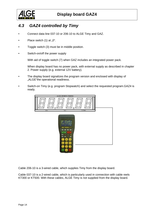<span id="page-13-0"></span>

## *4.3 GAZ4 controlled by Timy*

- Connect data line 037-10 or 206-10 to ALGE Timy and GAZ.
- Place switch  $(1)$  at  $.0$ ".
- Toggle switch (3) must be in middle position.
- Switch-on/off the power supply

With aid of toggle switch (7) when GAZ includes an integrated power pack.

When display board has no power pack, with external supply as described in chapter 2. Power supply (e.g. external 12V battery).

- The display board signalizes the program version and enclosed with display of "ALGE"the operational readiness.
- Switch-on Timy (e.g. program Stopwatch) and select the requested program.GAZ4 is ready.



Cable 206-10 is a 3-wired cable, which supplies Timy from the display board.

Cable 037-10 is a 2-wired cable, which is particularly used in connection with cable reels KT300 or KT500. With these cables, ALGE Timy is not supplied from the display board.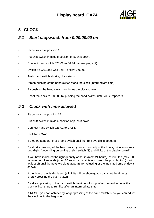

## <span id="page-14-0"></span>**5 CLOCK**

#### *5.1 Start stopwatch from 0:00:00.00 on*

- Place switch at position 15.
- Put shift switch in middle position or push it down.
- Connect hand switch 023-02 to GAZ4 banana plugs (2).
- Switch-on GAZ and wait until it shows 0:00.00.
- Push hand switch shortly, clock starts.
- Afresh pushing of the hand switch stops the clock (intermediate time).
- By pushing the hand switch continues the clock running.
- Reset the clock to 0:00.00 by pushing the hand switch, until "ALGE"appears.

#### *5.2 Clock with time allowed*

- Place switch at position 15.
- Put shift switch in middle position or push it down.
- Connect hand switch 023-02 to GAZ4.
- Switch-on GAZ.
- If 0:00.00 appears, press hand switch until the front two digits appears.
- By shortly pressing of the hand switch you can now adjust the hours, minutes or second-digits (depending on setting of shift switch (3) and digits of the display board.)
- If you have indicated the right quantity of hours (max. 24 hours), of minutes (max. 60 minutes) or of seconds (max. 60 seconds), maintain to press the push button (don't let loose!) until the next two digits appears for adjusting or the indicated time of day is shown.
- If the time of day is displayed (all digits will be shown), you can start the time by shortly pressing the push button.
- By afresh pressing of the hand switch the time will stop, after the next impulse the clock will continue to run like after an intermediate time.
- A RESET you can achieve by longer pressing of the hand switch. Now you can adjust the clock as in the beginning.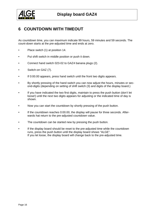<span id="page-15-0"></span>

#### **6 COUNTDOWN WITH TIMEOUT**

As countdown time, you can maximum indicate 99 hours, 59 minutes and 59 seconds. The count-down starts at the pre-adjusted time and ends at zero.

- Place switch (1) at position 14.
- Put shift switch in middle position or push it down.
- Connect hand switch 023-02 to GAZ4 banana plugs (2).
- Switch-on GAZ (7).
- If 0:00.00 appears, press hand switch until the front two digits appears.
- By shortly pressing of the hand switch you can now adjust the hours, minutes or second-digits (depending on setting of shift switch (3) and digits of the display board.)
- If you have indicated the two first digits, maintain to press the push button (don't let loose!) until the next two digits appears for adjusting or the indicated time of day is shown.
- Now you can start the countdown by shortly pressing of the push button.
- If the countdown reaches 0:00.00, the display will pause for three seconds. Afterwards hat return to the pre-adjusted countdown value.
- The countdown can be started new by pressing the push button.
- If the display board should be reset to the pre-adjusted time while the countdown runs, press the push button until the display board shows "ALGE". If you let loose, the display board will change back to the pre-adjusted time.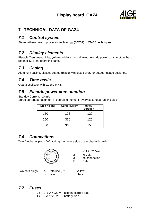

## <span id="page-16-0"></span>**7 TECHNICAL DATA OF GAZ4**

## *7.1 Control system*

State-of-the-art micro processor technology (80C31) in CMOS-techniques.

## *7.2 Display elements*

Bistable 7-segment digits, yellow on black ground, minor electric power consumption, best readability, great operating safety

## *7.3 Casing*

Aluminum casing, plastics coated (black) with plexi cover, for outdoor usage designed.

## *7.4 Time basis*

Quartz oscillator with 9.2160 MHz.

#### *7.5 Electric power consumption*

Standby Current: 10 mA

Surge current per segment in operating moment (every second at running clock).

| Digit height | <b>Surge current</b> | <b>Impuls</b><br>duration |
|--------------|----------------------|---------------------------|
| 150          | 123                  | 120                       |
| 250          | 360                  | 120                       |
| 450          | 360                  | 150                       |

#### *7.6 Connections*

Two Amphenol plugs (left and right on every side of the display board)



1 +11 to 20 Volt 2 0 Volt 3 no connection E Data

Two data plugs: o Data line (RXD) yellow

o mass black

## *7.7 Fuses*

2 x T 0, 5 A / 220 V altering current fuse 1 x T 2 A / 220 V battery fuse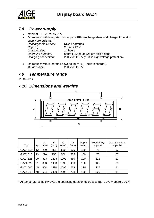<span id="page-17-0"></span>

## *7.8 Power supply*

- external: 11 20 V DC, 2 A
- On request with integrated power pack PP4 (rechargeables and charger for mains supply are built-in). *Rechargeable Battery:* NiCad batteries *Capacity:* 2.2 Ah / 12 V *Charging time:* 14 hours *Operating duration:* approx. 20 hours (25 cm digit height) *Charging connection:* 230 V or 110 V (built-in high voltage protection)
- On request with integrated power supply PS4 (built-in charger). *Mains supply:* 230 V or 110 V

## *7.9 Temperature range*

-25 to 50°C

#### *7.10 Dimensions and weights*



| Typ      | kg | A<br>(mm | B<br>(mm) | С<br>(mm) | D<br>(mm) | Depth<br>(mm) | Readability<br>appx. m | Operation time<br>appx. h* |
|----------|----|----------|-----------|-----------|-----------|---------------|------------------------|----------------------------|
| GAZ4 515 | 12 | 290      | 956       | 556       | 375       | 100           | 75                     | 60                         |
| GAZ4 615 | 13 | 290      | 956       | 556       | 375       | 100           | 75                     | 60                         |
| GAZ4 525 | 20 | 393      | 1493      | 1093      | 480       | 100           | 125                    | 20                         |
| GAZ4 625 | 21 | 393      | 1493      | 1093      | 480       | 100           | 125                    | 20                         |
| GAZ4 545 | 45 | 664      | 2490      | 2090      | 738       | 120           | 225                    | 11                         |
| GAZ4 645 | 48 | 664      | 2490      | 2090      | 738       | 120           | 225                    | 11                         |

\* At temperatures below  $0^{\circ}$ C, the operating duration decreases (at  $-20^{\circ}$ C = approx. 20%)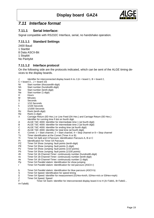

#### <span id="page-18-0"></span>*7.11 Interface format*

#### **7.11.1 Serial Interface:**

Signal compatible with RS232C Interface, serial, no handshake operation.

#### **7.11.1.1 Standard Settings**

2400 Baud 1 Startbit 8 Data ASCII-Bit 1 Stopbit No Paritybit

#### **7.11.1.2 Interface protocol**

On the following side are the protocols indicated, which can be sent of the ALGE timing devices to the display boards.

- Identifier for interconnected display board A to J ( $A =$  board 1, B = board 2,
- $C =$  board 3...  $J =$  board 10)
- Nt Start number (thousandth-digit)
- Nh Start number (hundredth-digit)
- Nz Start number (tenth-digit)
- Ne Start number (1-digit)
- H Hours
- M Minutes<br>S Seconds **Seconds**
- 
- z 1/10 Seconds h 1/100 Seconds
- t 1/1000 Seconds
- Rz Rank (tenth-digit)
- Re Rank (1-digit)
- X Carriage Return (0D Hex.) or Line Feed (0A Hex.) and Carriage Return (0D Hex.)
- . Identifier for running time if dot on fourth digit.
- A ALGE TdC 4000: Identifier for intermediate time 1 (at fourth digit)
- B ALGE TdC 4000: Identifier for intermediate time 2 (at fourth digit)
- C ALGE TdC 4000: Identifier for ending time (at fourth digit)
- D ALGE TdC 4000: Identifier for total time (at fourth digit)
- K Comet: 1 = Start channel,  $2 =$  Start channel,  $4 =$  Stop channel or  $8 =$  Stop channel<br>Tc Timer identification at the Comet (Timer A or B)
- Timer identification at the Comet (Timer A or B)
- Tt Timer S4 Split and 3-Parcours: Identification Parcours A, B or C
- Pr Identification for Timer S4 Parcours<br>PZ Timer S4 Show Jumping: fault point
- PZ Timer S4 Show Jumping: fault points (tenth-digit)<br>PE Timer S4 Show Jumping: fault points (1-digit)
- Timer S4 Show Jumping: fault points (1-digit)
- Pz Timer S4 Show Jumping: fault points (1/10 points)<br>Ph Timer S4 Show Jumping: fault points (1/100 points
- Timer S4 Show Jumping: fault points (1/100 points)
- #h Timer S4 18-Channel-Timer: continuously number (hundredth-digit)
- #z Timer S4 18-Channel-Timer: continuously number (tenth-digit)
- #e Timer S4 18-Channel-Timer: continuously number (1-digit)
- Timer S4 Parallel slalom: Identification for show jumping
- r Timer S4 Parallel slalom: Identification for red parcours (ASCII r)
- b Timer S4 Parallel slalom: Identification for blue parcours (ASCII b)
- 
- S Timer S4 Speed: Identification for speed timing<br>
S Timer S4 Speed: Identifier for measurement (01<br>
Z Timer S4 Speed: Speed § Timer S4 Speed: Identifier for measurement (01Hex=km/h, 02Hex=m/s or 03Hex=mph)
- Z Timer S4 Speed: Speed<br>F Timer S4 Swim
	- Timer S4 Swim: Identifier for interconnected display board A to H (A=Tafel1, B=Tafel2...

H=Tafel8)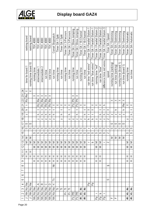|  | 4L/ |  |  |
|--|-----|--|--|
|  |     |  |  |

|                | ranking board                                                      | ranking board            | TDC 4000               | TDC 4000                 | TDC 4000                 | TDC 4000                 | TDC 4000                | Comet Stopwatch | Timer S4 / Split | Timer S4 / Split | Timer S4 / 3-Parcours | Timer S4 / 3-Parcours    | Timer S4 / Show Jumping | Timer S4 / Show Jumping | Timer S4 / 18-Channel | Timer S4 / 18-Channel | Timer S4 / Parallel Slalom 1 | Timer S4 / Parallel Slalom | Timer S4 / Parallel Slalom 2 | Timer S4 / Parallel Slalom 2 | Timer S4 / Parallel Slalom 3 | Timer S4 / Speed | Timer S4 / Swimming    | Timer S4 / Swimming | Timer S4 / Swimming    | Timer S4 / Swimming | Timer S4 / Automatic | Timer S4 / Automatic |
|----------------|--------------------------------------------------------------------|--------------------------|------------------------|--------------------------|--------------------------|--------------------------|-------------------------|-----------------|------------------|------------------|-----------------------|--------------------------|-------------------------|-------------------------|-----------------------|-----------------------|------------------------------|----------------------------|------------------------------|------------------------------|------------------------------|------------------|------------------------|---------------------|------------------------|---------------------|----------------------|----------------------|
|                | time for board 1                                                   | running time board 10    | running time           | intermediate             | N<br>intermediate        | run time                 | total time              | run time        | running time     | run time         | running time          | run time                 | running time            | run time                | running time          | run time              | run time "red winns"         | run time "blue winns"      | running time "red"           | "blue" blue                  | difference time red winns    | speed            | running time (ranking) | run time (ranking)  | running time (board 1) | run time (board 1)  | running time         | run time             |
| Z4             | ×                                                                  | $\times$                 |                        |                          |                          |                          |                         |                 |                  |                  |                       |                          |                         |                         |                       |                       |                              |                            |                              |                              |                              |                  |                        |                     |                        |                     |                      |                      |
| 23             | œ                                                                  |                          | ×                      | $\times$                 | $\times$                 | $\times$                 | $\times$                |                 |                  |                  |                       |                          | ×                       | $\times$                |                       |                       |                              |                            |                              |                              |                              |                  |                        |                     |                        |                     |                      |                      |
| 22             | Rz I                                                               |                          |                        | å                        | Re<br>C                  | œ                        | å                       |                 |                  |                  |                       |                          | 준                       | 준                       |                       |                       |                              |                            |                              |                              |                              |                  | ×                      | $\times$            | ×                      | ×                   |                      |                      |
| $\overline{a}$ | ÷                                                                  |                          |                        | Rz                       | Rz I                     | Rz                       | Rz                      | $\times$        | $\times$         | ×                | $\times$              | $\times$                 | $_{\rm PZ}$             | P <sub>z</sub>          | ×                     | ×                     |                              | ×                          | ×                            | $\times$                     | ᅐ                            |                  |                        |                     |                        | å                   | ×                    | $\times$             |
| 2              | ᇰ                                                                  |                          |                        | +                        | ÷                        | $\ddot{}$                | t                       | +               |                  | +                |                       | $\overline{\phantom{0}}$ |                         | ÷                       |                       | ↔                     | ×                            | $\times$                   |                              | ⊷                            | +                            | ×                |                        | ᅐ                   |                        | £.                  |                      | $\ddot{}$            |
| ë              | ы                                                                  |                          |                        | ᇰ                        | ᇰ                        | ᇰ                        | ᅐ                       | ᅩ               |                  | ᅩ                |                       | ᇰ                        |                         | ᇰ                       |                       | ᇰ                     |                              | ←                          |                              | ᅐ                            | ᇰ                            | N                | ы                      | ы                   | ы                      | ы                   |                      | £                    |
| ₽              |                                                                    |                          |                        | ы                        | ы                        | N                        | N                       | N               |                  | ы                |                       | N                        | ы                       | N                       | ы                     | ы                     | ᇰ                            | ᇰ                          | N                            | ы                            | ы                            | N                |                        |                     |                        |                     | ы                    | $\overline{N}$       |
| H              | w                                                                  | Ø                        |                        |                          |                          |                          |                         |                 |                  |                  |                       |                          |                         |                         |                       |                       |                              |                            |                              |                              |                              |                  | ω                      | w                   | ω                      | w                   |                      |                      |
| 9              | w                                                                  | Ø                        | O)                     | w                        | O)                       | ω                        | CO.                     | Ø               | CO.              | w                | ω                     | ω                        | ω                       | $\omega$                | w                     | w                     | N                            | ы                          | w                            | s                            | w                            | N                | O)                     | w                   | CO.                    | w                   | O)                   | ω                    |
| 뜬              |                                                                    |                          | w                      | w                        | O)                       | CO.                      | $\omega$                | $^{5}$          | $\omega$         | w                | S                     | $\omega$                 | w                       | $\omega$                | w                     | CO.                   | w                            | $^{5}$                     | w                            | $\omega$                     | w                            | N                |                        |                     |                        |                     | O)                   | w                    |
| $\frac{4}{3}$  | Z                                                                  | Σ                        |                        |                          |                          |                          |                         |                 |                  |                  |                       |                          |                         |                         |                       |                       |                              |                            |                              |                              |                              |                  | Σ                      | Σ                   | Σ                      | Σ                   |                      |                      |
| $\frac{1}{2}$  | Σ                                                                  | Σ                        | Σ                      | Σ                        |                          | যাযা                     | Σ                       | Σ               | Σ                | Σ                | Σ                     | Σ                        | Σ                       | ⋝                       | ≥                     | ∣≅                    |                              | ∣ه ⊣                       | Σ∣Σ                          |                              |                              | ∼IN              |                        |                     |                        |                     | Σ                    | Σ                    |
| 5              |                                                                    |                          | Σ                      | Σ                        | ≅∣                       | Σ                        | Σ                       | Σ               | Σ                | Σ                | Σ                     | Σ                        | Σ                       | Σ                       | Σ                     | Σ                     |                              |                            | Σ                            | Σ                            |                              |                  |                        |                     |                        |                     | Σ                    | Σ                    |
| Ξ              | 工                                                                  | I                        |                        |                          | $\ddot{\phantom{1}}$ .   |                          |                         |                 |                  |                  |                       | $\cdot$ .                |                         |                         |                       |                       |                              |                            | $\ddot{\phantom{0}}$         |                              |                              |                  |                        |                     |                        |                     | $\ddot{\phantom{0}}$ |                      |
| ₽              | H                                                                  | H                        | I                      | I                        | I                        | I                        | 工                       | I               | I                | I                | ᆂ                     | I                        | I                       | I                       | I                     | ᆂ                     |                              |                            | I                            | I                            |                              |                  |                        |                     |                        |                     | I                    | ᆂ                    |
| თ              |                                                                    |                          | 工                      | ᆂ                        | H                        | H                        | H                       | I               | 工                | H                | 工                     | ᆂ                        | H                       | H                       | ᆂ                     | I                     |                              |                            | エ                            | I                            |                              |                  |                        |                     |                        |                     | I                    | I                    |
| œ              |                                                                    |                          |                        |                          |                          |                          |                         | ž               |                  |                  |                       |                          |                         |                         |                       |                       |                              |                            |                              |                              |                              | s                |                        |                     |                        |                     |                      |                      |
| ↖              |                                                                    |                          |                        |                          |                          |                          |                         |                 |                  |                  |                       |                          |                         |                         |                       |                       |                              |                            |                              |                              |                              |                  |                        |                     |                        |                     |                      |                      |
| ω              |                                                                    |                          |                        |                          |                          |                          |                         |                 |                  |                  |                       |                          |                         |                         |                       |                       |                              |                            |                              |                              |                              |                  |                        |                     |                        |                     |                      |                      |
| 5              |                                                                    |                          |                        |                          |                          |                          |                         | ع               |                  |                  |                       |                          |                         |                         |                       |                       |                              |                            |                              |                              |                              | w                |                        |                     |                        |                     |                      |                      |
| 4              | $\stackrel{\scriptscriptstyle \oplus}{\scriptscriptstyle \succeq}$ | ے<br>ح                   |                        | ∢                        | ⅏                        | $\circ$                  | $\circ$                 | ×               |                  |                  |                       |                          |                         |                         |                       |                       | 운                            | 운                          |                              |                              |                              |                  |                        |                     |                        |                     |                      |                      |
| CO.            | $\geq$                                                             | $\frac{1}{2}$            | ے<br>ح                 | ے<br>ح                   | ے<br>2                   | €                        | ے<br>ح                  | ے<br>ح          | 户                | 亡                | 亡                     | 亡                        |                         |                         | #                     | #                     |                              |                            |                              |                              |                              |                  |                        |                     |                        |                     | #                    | #                    |
| $\sim$         | $\overline{\tilde{z}}$                                             | $\overline{\Xi}$         | $\frac{1}{2}$          | $\overline{M}$           | $\overline{z}$           | $\frac{1}{2}$            | $\frac{1}{2}$           | ž               |                  |                  | ò                     | ò                        | 핕                       | 뿐                       | 书                     | 书                     |                              |                            | r                            | م                            | Ł                            |                  |                        |                     |                        |                     | 书                    | 书                    |
|                | $\overline{\phantom{a}}$                                           | $\overline{\phantom{0}}$ | $\overline{\tilde{z}}$ | $\overline{\tilde{\Xi}}$ | $\overline{\tilde{\Xi}}$ | $\overline{\tilde{\Xi}}$ | $\frac{\varepsilon}{2}$ | ₹               |                  |                  |                       |                          | Pz                      | Pz                      | ŧ                     | 巷                     |                              |                            | 운                            | 운                            | 운                            |                  | Щ                      | L                   |                        |                     | 巷                    | €                    |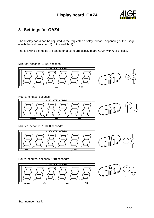

## <span id="page-20-0"></span>**8 Settings for GAZ4**

The display board can be adjusted to the requested display format – depending of the usage – with the shift switcher (3) or the switch (1)

The following examples are based on a standard display board GAZ4 with 6 or 5 digits.

Minutes, seconds, 1/100 seconds:



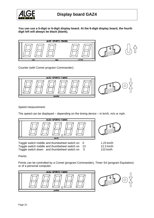

**You can use a 5-digit or 6-digit display board. At the 6-digit display board, the fourth digit left will always be black (blank).** 



Counter (with Comet program Commander):



Speed measurement:

The speed can be displayed – depending on the timing device – in km/h, m/s or mph.



Toggle switch middle and thumbwheel switch on 0 1.23 km/h Toggle switch middle and thumbwheel switch on 13 12.3 km/h Toggle switch down and thumbwheel switch on 0 123 km/h



Points:

Points can be controlled by a Comet (program Commander), Timer S4 (program Equitation) or of a personal computer.

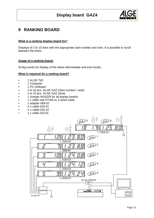

#### <span id="page-22-0"></span>**9 RANKING BOARD**

#### **What is a ranking display board for?**

Displays of 2 to 10 lines with the appropriate start number and rank. It is possible to scroll between the times.

#### **Usage of a ranking board:**

At big events for display of the latest intermediate and end results.

#### **What is required for a ranking board?**

- 1 ALGE TdC
- 1 Computer
- 1 PC-Software
- 2 to 10 pcs. ALGE GAZ (Start number / rank)
- 2 to 10 pcs. ALGE GAZ (time)
- 1 charger NGAZ/R for all display boards
- 1 x cable reel KT300 or 2-wired cable
- 1 adapter 069-02
- X x cable 033-01
- X x cable 033-10
- 1 x cable 010-01